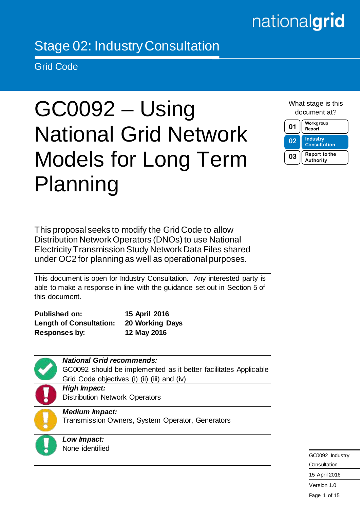# nationalgrid

# Stage 02: Industry Consultation

Grid Code

# GC0092 – Using National Grid Network Models for Long Term Planning

What stage is this document at?



This proposal seeks to modify the Grid Code to allow Distribution Network Operators (DNOs) to use National Electricity Transmission Study Network Data Files shared under OC2 for planning as well as operational purposes.

This document is open for Industry Consultation. Any interested party is able to make a response in line with the guidance set out in Section 5 of this document.

**Published on: 15 April 2016 Length of Consultation: 20 Working Days Responses by: 12 May 2016** 



GC0092 Industry **Consultation** 15 April 2016 Version 1.0 Page 1 of 15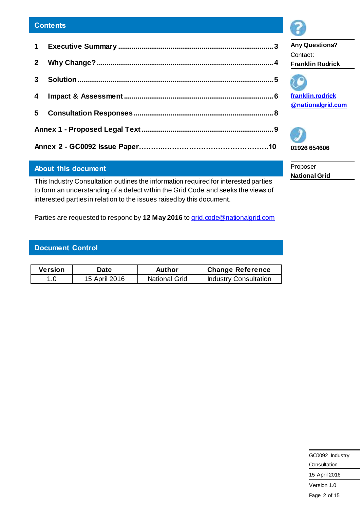# **About this document**

This Industry Consultation outlines the information required for interested parties to form an understanding of a defect within the Grid Code and seeks the views of interested parties in relation to the issues raised by this document.

Parties are requested to respond by 12 May 2016 t[o grid.code@nationalgrid.com](mailto:grid.code@nationalgrid.com)

# **Document Control**

| <b>Version</b> | Date          | Author               | <b>Change Reference</b>      |
|----------------|---------------|----------------------|------------------------------|
|                | 15 April 2016 | <b>National Grid</b> | <b>Industry Consultation</b> |



**Any Questions?** Contact: **Franklin Rodrick**



**[franklin.rodrick](mailto:First.Last@nationalgrid.com) [@nationalgrid.com](mailto:First.Last@nationalgrid.com)**



Proposer **National Grid**

| GC0092 Industry |
|-----------------|
| Consultation    |
| 15 April 2016   |
| Version 1.0     |
| Page 2 of 15    |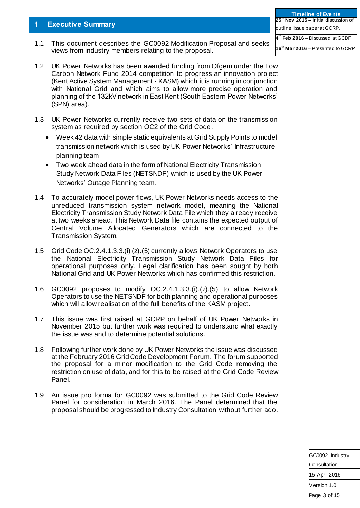# **1 Executive Summary**

1.1 This document describes the GC0092 Modification Proposal and seeks views from industry members relating to the proposal.

| 1.2 UK Power Networks has been awarded funding from Ofgem under the Low   |
|---------------------------------------------------------------------------|
| Carbon Network Fund 2014 competition to progress an innovation project    |
| (Kent Active System Management - KASM) which it is running in conjunction |
| with National Grid and which aims to allow more precise operation and     |
| planning of the 132kV network in East Kent (South Eastern Power Networks' |
| (SPN) area).                                                              |

- 1.3 UK Power Networks currently receive two sets of data on the transmission system as required by section OC2 of the Grid Code.
	- Week 42 data with simple static equivalents at Grid Supply Points to model transmission network which is used by UK Power Networks' Infrastructure planning team
	- Two week ahead data in the form of National Electricity Transmission Study Network Data Files (NETSNDF) which is used by the UK Power Networks' Outage Planning team.
- 1.4 To accurately model power flows, UK Power Networks needs access to the unreduced transmission system network model, meaning the National Electricity Transmission Study Network Data File which they already receive at two weeks ahead. This Network Data file contains the expected output of Central Volume Allocated Generators which are connected to the Transmission System.
- 1.5 Grid Code OC.2.4.1.3.3.(i).(z).(5) currently allows Network Operators to use the National Electricity Transmission Study Network Data Files for operational purposes only. Legal clarification has been sought by both National Grid and UK Power Networks which has confirmed this restriction.
- 1.6 GC0092 proposes to modify OC.2.4.1.3.3.(i).(z).(5) to allow Network Operators to use the NETSNDF for both planning and operational purposes which will allow realisation of the full benefits of the KASM project.
- 1.7 This issue was first raised at GCRP on behalf of UK Power Networks in November 2015 but further work was required to understand what exactly the issue was and to determine potential solutions.
- 1.8 Following further work done by UK Power Networks the issue was discussed at the February 2016 Grid Code Development Forum. The forum supported the proposal for a minor modification to the Grid Code removing the restriction on use of data, and for this to be raised at the Grid Code Review Panel.
- 1.9 An issue pro forma for GC0092 was submitted to the Grid Code Review Panel for consideration in March 2016. The Panel determined that the proposal should be progressed to Industry Consultation without further ado.

<span id="page-2-0"></span>

| <b>Timeline of Events</b>                         |
|---------------------------------------------------|
| 25 <sup>th</sup> Nov 2015 – Initial discussion of |
| outline issue paper at GCRP.                      |
| $4th$ Feb 2016 – Discussed at GCDF                |
| 16 <sup>th</sup> Mar 2016 – Presented to GCRP     |

| GC0092 Industry |
|-----------------|
| Consultation    |
| 15 April 2016   |
| Version 1.0     |
| Page 3 of 15    |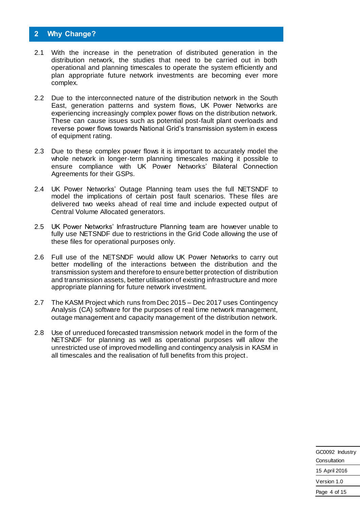# <span id="page-3-0"></span>**2 Why Change?**

- 2.1 With the increase in the penetration of distributed generation in the distribution network, the studies that need to be carried out in both operational and planning timescales to operate the system efficiently and plan appropriate future network investments are becoming ever more complex.
- 2.2 Due to the interconnected nature of the distribution network in the South East, generation patterns and system flows, UK Power Networks are experiencing increasingly complex power flows on the distribution network. These can cause issues such as potential post-fault plant overloads and reverse power flows towards National Grid's transmission system in excess of equipment rating.
- 2.3 Due to these complex power flows it is important to accurately model the whole network in longer-term planning timescales making it possible to ensure compliance with UK Power Networks' Bilateral Connection Agreements for their GSPs.
- 2.4 UK Power Networks' Outage Planning team uses the full NETSNDF to model the implications of certain post fault scenarios. These files are delivered two weeks ahead of real time and include expected output of Central Volume Allocated generators.
- 2.5 UK Power Networks' Infrastructure Planning team are however unable to fully use NETSNDF due to restrictions in the Grid Code allowing the use of these files for operational purposes only.
- 2.6 Full use of the NETSNDF would allow UK Power Networks to carry out better modelling of the interactions between the distribution and the transmission system and therefore to ensure better protection of distribution and transmission assets, better utilisation of existing infrastructure and more appropriate planning for future network investment.
- 2.7 The KASM Project which runs from Dec 2015 Dec 2017 uses Contingency Analysis (CA) software for the purposes of real time network management, outage management and capacity management of the distribution network.
- 2.8 Use of unreduced forecasted transmission network model in the form of the NETSNDF for planning as well as operational purposes will allow the unrestricted use of improved modelling and contingency analysis in KASM in all timescales and the realisation of full benefits from this project.

| GC0092 Industry |  |
|-----------------|--|
| Consultation    |  |
| 15 April 2016   |  |
| Version 1.0     |  |
| Page 4 of 15    |  |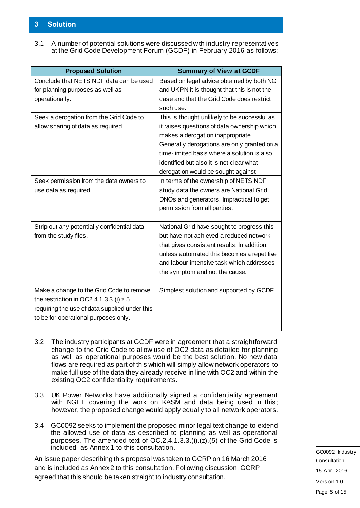# <span id="page-4-0"></span>**3 Solution**

3.1 A number of potential solutions were discussed with industry representatives at the Grid Code Development Forum (GCDF) in February 2016 as follows:

| <b>Proposed Solution</b>                      | <b>Summary of View at GCDF</b>               |
|-----------------------------------------------|----------------------------------------------|
| Conclude that NETS NDF data can be used       | Based on legal advice obtained by both NG    |
| for planning purposes as well as              | and UKPN it is thought that this is not the  |
| operationally.                                | case and that the Grid Code does restrict    |
|                                               | such use.                                    |
| Seek a derogation from the Grid Code to       | This is thought unlikely to be successful as |
| allow sharing of data as required.            | it raises questions of data ownership which  |
|                                               | makes a derogation inappropriate.            |
|                                               | Generally derogations are only granted on a  |
|                                               | time-limited basis where a solution is also  |
|                                               | identified but also it is not clear what     |
|                                               | derogation would be sought against.          |
| Seek permission from the data owners to       | In terms of the ownership of NETS NDF        |
| use data as required.                         | study data the owners are National Grid,     |
|                                               | DNOs and generators. Impractical to get      |
|                                               | permission from all parties.                 |
|                                               |                                              |
| Strip out any potentially confidential data   | National Grid have sought to progress this   |
| from the study files.                         | but have not achieved a reduced network      |
|                                               | that gives consistent results. In addition,  |
|                                               | unless automated this becomes a repetitive   |
|                                               | and labour intensive task which addresses    |
|                                               | the symptom and not the cause.               |
|                                               |                                              |
| Make a change to the Grid Code to remove      | Simplest solution and supported by GCDF      |
| the restriction in OC2.4.1.3.3.(i).z.5        |                                              |
| requiring the use of data supplied under this |                                              |
| to be for operational purposes only.          |                                              |
|                                               |                                              |

- 3.2 The industry participants at GCDF were in agreement that a straightforward change to the Grid Code to allow use of OC2 data as detailed for planning as well as operational purposes would be the best solution. No new data flows are required as part of this which will simply allow network operators to make full use of the data they already receive in line with OC2 and within the existing OC2 confidentiality requirements.
- 3.3 UK Power Networks have additionally signed a confidentiality agreement with NGET covering the work on KASM and data being used in this; however, the proposed change would apply equally to all network operators.
- 3.4 GC0092 seeks to implement the proposed minor legal text change to extend the allowed use of data as described to planning as well as operational purposes. The amended text of OC.2.4.1.3.3.(i).(z).(5) of the Grid Code is included as Annex 1 to this consultation.

An issue paper describing this proposal was taken to GCRP on 16 March 2016 and is included as Annex 2 to this consultation. Following discussion, GCRP agreed that this should be taken straight to industry consultation.

|               | GC0092 Industry |
|---------------|-----------------|
| Consultation  |                 |
| 15 April 2016 |                 |
| Version 1.0   |                 |
| Page 5 of 15  |                 |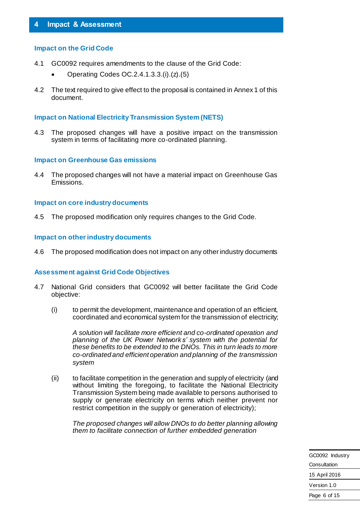#### <span id="page-5-0"></span>**Impact on the Grid Code**

- 4.1 GC0092 requires amendments to the clause of the Grid Code:
	- Operating Codes  $OC.2.4.1.3.3. (i) . (z) . (5)$
- 4.2 The text required to give effect to the proposal is contained in Annex 1 of this document.

#### **Impact on National Electricity Transmission System (NETS)**

4.3 The proposed changes will have a positive impact on the transmission system in terms of facilitating more co-ordinated planning.

#### **Impact on Greenhouse Gas emissions**

4.4 The proposed changes will not have a material impact on Greenhouse Gas Emissions.

#### **Impact on core industry documents**

4.5 The proposed modification only requires changes to the Grid Code.

#### **Impact on other industry documents**

4.6 The proposed modification does not impact on any other industry documents

#### **Assessment against Grid Code Objectives**

- 4.7 National Grid considers that GC0092 will better facilitate the Grid Code objective:
	- (i) to permit the development, maintenance and operation of an efficient, coordinated and economical system for the transmission of electricity;

*A solution will facilitate more efficient and co-ordinated operation and planning of the UK Power Networks' system with the potential for these benefits to be extended to the DNOs. This in turn leads to more co-ordinated and efficient operation and planning of the transmission system*

(ii) to facilitate competition in the generation and supply of electricity (and without limiting the foregoing, to facilitate the National Electricity Transmission System being made available to persons authorised to supply or generate electricity on terms which neither prevent nor restrict competition in the supply or generation of electricity);

*The proposed changes will allow DNOs to do better planning allowing them to facilitate connection of further embedded generation*

> GC0092 Industry **Consultation** 15 April 2016 Version 1.0 Page 6 of 15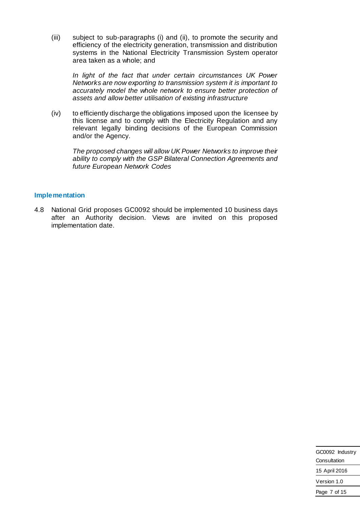(iii) subject to sub-paragraphs (i) and (ii), to promote the security and efficiency of the electricity generation, transmission and distribution systems in the National Electricity Transmission System operator area taken as a whole; and

*In light of the fact that under certain circumstances UK Power Networks are now exporting to transmission system it is important to accurately model the whole network to ensure better protection of assets and allow better utilisation of existing infrastructure*

(iv) to efficiently discharge the obligations imposed upon the licensee by this license and to comply with the Electricity Regulation and any relevant legally binding decisions of the European Commission and/or the Agency.

*The proposed changes will allow UK Power Networks to improve their ability to comply with the GSP Bilateral Connection Agreements and future European Network Codes*

# **Implementation**

4.8 National Grid proposes GC0092 should be implemented 10 business days after an Authority decision. Views are invited on this proposed implementation date.

| GC0092 Industry |  |
|-----------------|--|
| Consultation    |  |
| 15 April 2016   |  |
| Version 1.0     |  |
| Page 7 of 15    |  |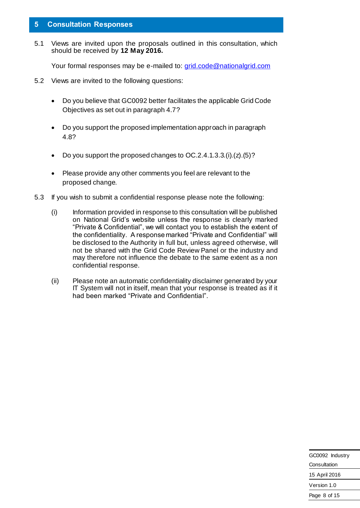# <span id="page-7-0"></span>**5 Consultation Responses**

5.1 Views are invited upon the proposals outlined in this consultation, which should be received by **12 May 2016.**

Your formal responses may be e-mailed t[o: grid.code@nationalgrid.com](mailto:grid.code@nationalgrid.com)

- 5.2 Views are invited to the following questions:
	- Do you believe that GC0092 better facilitates the applicable Grid Code Objectives as set out in paragraph 4.7?
	- Do you support the proposed implementation approach in paragraph 4.8?
	- Do you support the proposed changes to OC.2.4.1.3.3.(i).(z).(5)?
	- Please provide any other comments you feel are relevant to the proposed change.
- 5.3 If you wish to submit a confidential response please note the following:
	- (i) Information provided in response to this consultation will be published on National Grid's website unless the response is clearly marked "Private & Confidential", we will contact you to establish the extent of the confidentiality. A response marked "Private and Confidential" will be disclosed to the Authority in full but, unless agreed otherwise, will not be shared with the Grid Code Review Panel or the industry and may therefore not influence the debate to the same extent as a non confidential response.
	- (ii) Please note an automatic confidentiality disclaimer generated by your IT System will not in itself, mean that your response is treated as if it had been marked "Private and Confidential".

| GC0092 Industry |  |
|-----------------|--|
| Consultation    |  |
| 15 April 2016   |  |
| Version 1.0     |  |
| Page 8 of 15    |  |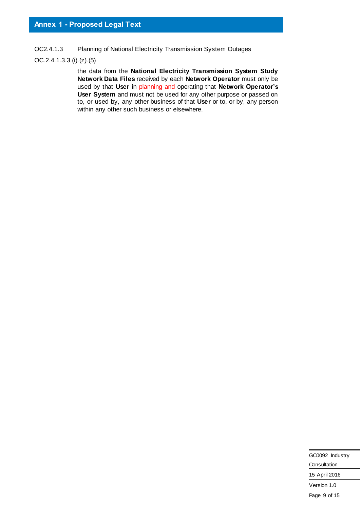<span id="page-8-0"></span>OC2.4.1.3 Planning of National Electricity Transmission System Outages

# OC.2.4.1.3.3.(i).(z).(5)

the data from the **National Electricity Transmission System Study Network Data Files** received by each **Network Operator** must only be used by that **User** in planning and operating that **Network Operator's User System** and must not be used for any other purpose or passed on to, or used by, any other business of that **User** or to, or by, any person within any other such business or elsewhere.

| GC0092 Industry |
|-----------------|
| Consultation    |
| 15 April 2016   |
| Version 1.0     |
| Page 9 of 15    |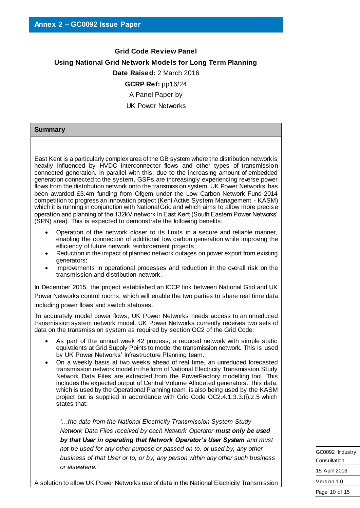# **Grid Code Review Panel Using National Grid Network Models for Long Term Planning Date Raised:** 2 March 2016 **GCRP Ref:** pp16/24 A Panel Paper by UK Power Networks

#### **Summary**

East Kent is a particularly complex area of the GB system where the distribution network is heavily influenced by HVDC interconnector flows and other types of transmission connected generation. In parallel with this, due to the increasing amount of embedded generation connected to the system, GSPs are increasingly experiencing reverse power flows from the distribution network onto the transmission system. UK Power Networks has been awarded £3.4m funding from Ofgem under the Low Carbon Network Fund 2014 competition to progress an innovation project (Kent Active System Management - KASM) which it is running in conjunction with National Grid and which aims to allow more precise operation and planning of the 132kV network in East Kent (South Eastern Power Networks' (SPN) area). This is expected to demonstrate the following benefits:

- Operation of the network closer to its limits in a secure and reliable manner, enabling the connection of additional low carbon generation while improving the efficiency of future network reinforcement projects;
- Reduction in the impact of planned network outages on power export from existing generators;
- Improvements in operational processes and reduction in the overall risk on the transmission and distribution network.

In December 2015, the project established an ICCP link between National Grid and UK Power Networks control rooms, which will enable the two parties to share real time data including power flows and switch statuses.

To accurately model power flows, UK Power Networks needs access to an unreduced transmission system network model. UK Power Networks currently receives two sets of data on the transmission system as required by section OC2 of the Grid Code:

- As part of the annual week 42 process, a reduced network with simple static equivalents at Grid Supply Points to model the transmission network. This is used by UK Power Networks' Infrastructure Planning team.
- On a weekly basis at two weeks ahead of real time, an unreduced forecasted transmission network model in the form of National Electricity Transmission Study Network Data Files are extracted from the PowerFactory modelling tool. This includes the expected output of Central Volume Allocated generators. This data, which is used by the Operational Planning team, is also being used by the KASM project but is supplied in accordance with Grid Code OC2.4.1.3.3.(i).z.5 which states that:

*'…the data from the National Electricity Transmission System Study Network Data Files received by each Network Operator must only be used by that User in operating that Network Operator's User System and must not be used for any other purpose or passed on to, or used by, any other business of that User or to, or by, any person within any other such business or elsewhere.'* 

A solution to allow UK Power Networks use of data in the National Electricity Transmission

GC0092 Industry **Consultation** 15 April 2016 Version 1.0

Page 10 of 15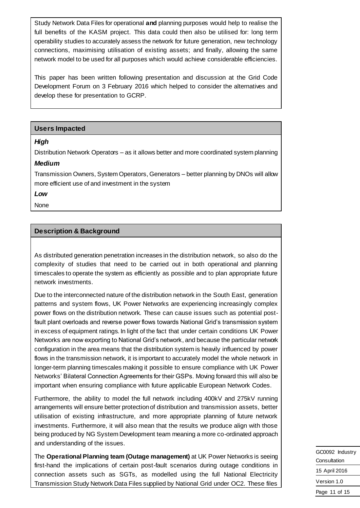Study Network Data Files for operational **and** planning purposes would help to realise the full benefits of the KASM project. This data could then also be utilised for: long term operability studies to accurately assess the network for future generation, new technology connections, maximising utilisation of existing assets; and finally, allowing the same network model to be used for all purposes which would achieve considerable efficiencies.

This paper has been written following presentation and discussion at the Grid Code Development Forum on 3 February 2016 which helped to consider the alternatives and develop these for presentation to GCRP.

#### **Users Impacted**

#### *High*

Distribution Network Operators – as it allows better and more coordinated system planning *Medium*

Transmission Owners, System Operators, Generators – better planning by DNOs will allow more efficient use of and investment in the system

*Low*

None

#### **Description & Background**

As distributed generation penetration increases in the distribution network, so also do the complexity of studies that need to be carried out in both operational and planning timescales to operate the system as efficiently as possible and to plan appropriate future network investments.

Due to the interconnected nature of the distribution network in the South East, generation patterns and system flows, UK Power Networks are experiencing increasingly complex power flows on the distribution network. These can cause issues such as potential postfault plant overloads and reverse power flows towards National Grid's transmission system in excess of equipment ratings. In light of the fact that under certain conditions UK Power Networks are now exporting to National Grid's network, and because the particular network configuration in the area means that the distribution system is heavily influenced by power flows in the transmission network, it is important to accurately model the whole network in longer-term planning timescales making it possible to ensure compliance with UK Power Networks' Bilateral Connection Agreements for their GSPs. Moving forward this will also be important when ensuring compliance with future applicable European Network Codes.

Furthermore, the ability to model the full network including 400kV and 275kV running arrangements will ensure better protection of distribution and transmission assets, better utilisation of existing infrastructure, and more appropriate planning of future network investments. Furthermore, it will also mean that the results we produce align with those being produced by NG System Development team meaning a more co-ordinated approach and understanding of the issues.

The **Operational Planning team (Outage management)** at UK Power Networks is seeing first-hand the implications of certain post-fault scenarios during outage conditions in connection assets such as SGTs, as modelled using the full National Electricity Transmission Study Network Data Files supplied by National Grid under OC2. These files

GC0092 Industry Consultation 15 April 2016 Version 1.0 Page 11 of 15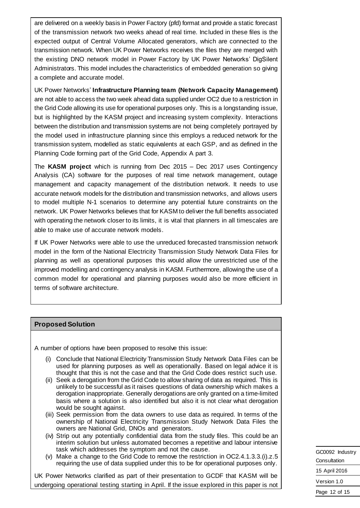are delivered on a weekly basis in Power Factory (pfd) format and provide a static forecast of the transmission network two weeks ahead of real time. Included in these files is the expected output of Central Volume Allocated generators, which are connected to the transmission network. When UK Power Networks receives the files they are merged with the existing DNO network model in Power Factory by UK Power Networks' DigSilent Administrators. This model includes the characteristics of embedded generation so giving a complete and accurate model.

UK Power Networks' **Infrastructure Planning team (Network Capacity Management)** are not able to access the two week ahead data supplied under OC2 due to a restriction in the Grid Code allowing its use for operational purposes only. This is a longstanding issue, but is highlighted by the KASM project and increasing system complexity. Interactions between the distribution and transmission systems are not being completely portrayed by the model used in infrastructure planning since this employs a reduced network for the transmission system, modelled as static equivalents at each GSP, and as defined in the Planning Code forming part of the Grid Code, Appendix A part 3.

The **KASM project** which is running from Dec 2015 – Dec 2017 uses Contingency Analysis (CA) software for the purposes of real time network management, outage management and capacity management of the distribution network. It needs to use accurate network models for the distribution and transmission networks, and allows users to model multiple N-1 scenarios to determine any potential future constraints on the network. UK Power Networks believes that for KASM to deliver the full benefits associated with operating the network closer to its limits, it is vital that planners in all timescales are able to make use of accurate network models.

If UK Power Networks were able to use the unreduced forecasted transmission network model in the form of the National Electricity Transmission Study Network Data Files for planning as well as operational purposes this would allow the unrestricted use of the improved modelling and contingency analysis in KASM. Furthermore, allowing the use of a common model for operational and planning purposes would also be more efficient in terms of software architecture.

#### **Proposed Solution**

A number of options have been proposed to resolve this issue:

- (i) Conclude that National Electricity Transmission Study Network Data Files can be used for planning purposes as well as operationally. Based on legal advice it is thought that this is not the case and that the Grid Code does restrict such use.
- (ii) Seek a derogation from the Grid Code to allow sharing of data as required. This is unlikely to be successful as it raises questions of data ownership which makes a derogation inappropriate. Generally derogations are only granted on a time-limited basis where a solution is also identified but also it is not clear what derogation would be sought against.
- (iii) Seek permission from the data owners to use data as required. In terms of the ownership of National Electricity Transmission Study Network Data Files the owners are National Grid, DNOs and generators.
- (iv) Strip out any potentially confidential data from the study files. This could be an interim solution but unless automated becomes a repetitive and labour intensive task which addresses the symptom and not the cause.
- (v) Make a change to the Grid Code to remove the restriction in OC2.4.1.3.3.(i).z.5 requiring the use of data supplied under this to be for operational purposes only.

UK Power Networks clarified as part of their presentation to GCDF that KASM will be undergoing operational testing starting in April. If the issue explored in this paper is not GC0092 Industry Consultation 15 April 2016 Version 1.0 Page 12 of 15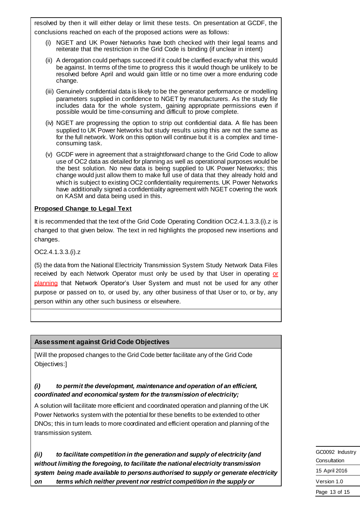resolved by then it will either delay or limit these tests. On presentation at GCDF, the conclusions reached on each of the proposed actions were as follows:

- (i) NGET and UK Power Networks have both checked with their legal teams and reiterate that the restriction in the Grid Code is binding (if unclear in intent)
- (ii) A derogation could perhaps succeed if it could be clarified exactly what this would be against. In terms of the time to progress this it would though be unlikely to be resolved before April and would gain little or no time over a more enduring code change.
- (iii) Genuinely confidential data is likely to be the generator performance or modelling parameters supplied in confidence to NGET by manufacturers. As the study file includes data for the whole system, gaining appropriate permissions even if possible would be time-consuming and difficult to prove complete.
- (iv) NGET are progressing the option to strip out confidential data. A file has been supplied to UK Power Networks but study results using this are not the same as for the full network. Work on this option will continue but it is a complex and timeconsuming task.
- (v) GCDF were in agreement that a straightforward change to the Grid Code to allow use of OC2 data as detailed for planning as well as operational purposes would be the best solution. No new data is being supplied to UK Power Networks; this change would just allow them to make full use of data that they already hold and which is subject to existing OC2 confidentiality requirements. UK Power Networks have additionally signed a confidentiality agreement with NGET covering the work on KASM and data being used in this.

# **Proposed Change to Legal Text**

It is recommended that the text of the Grid Code Operating Condition OC2.4.1.3.3.(i).z is changed to that given below. The text in red highlights the proposed new insertions and changes.

OC2.4.1.3.3.(i).z

(5) the data from the National Electricity Transmission System Study Network Data Files received by each Network Operator must only be used by that User in operating or planning that Network Operator's User System and must not be used for any other purpose or passed on to, or used by, any other business of that User or to, or by, any person within any other such business or elsewhere.

# **Assessment against Grid Code Objectives**

[Will the proposed changes to the Grid Code better facilitate any of the Grid Code Objectives:]

# *(i) to permit the development, maintenance and operation of an efficient, coordinated and economical system for the transmission of electricity;*

A solution will facilitate more efficient and coordinated operation and planning of the UK Power Networks system with the potential for these benefits to be extended to other DNOs; this in turn leads to more coordinated and efficient operation and planning of the transmission system.

*(ii) to facilitate competition in the generation and supply of electricity (and without limiting the foregoing, to facilitate the national electricity transmission system being made available to persons authorised to supply or generate electricity on terms which neither prevent nor restrict competition in the supply or* 

GC0092 Industry **Consultation** 15 April 2016 Version 1.0 Page 13 of 15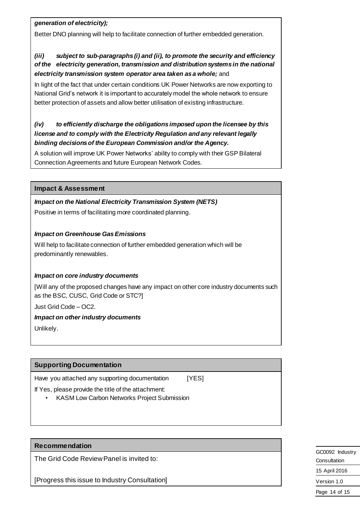# *generation of electricity);*

Better DNO planning will help to facilitate connection of further embedded generation.

# *(iii) subject to sub-paragraphs (i) and (ii), to promote the security and efficiency of the electricity generation, transmission and distribution systems in the national electricity transmission system operator area taken as a whole;* and

In light of the fact that under certain conditions UK Power Networks are now exporting to National Grid's network it is important to accurately model the whole network to ensure better protection of assets and allow better utilisation of existing infrastructure.

# *(iv) to efficiently discharge the obligations imposed upon the licensee by this license and to comply with the Electricity Regulation and any relevant legally binding decisions of the European Commission and/or the Agency.*

A solution will improve UK Power Networks' ability to comply with their GSP Bilateral Connection Agreements and future European Network Codes.

# **Impact & Assessment**

# *Impact on the National Electricity Transmission System (NETS)*

Positive in terms of facilitating more coordinated planning.

# *Impact on Greenhouse Gas Emissions*

Will help to facilitate connection of further embedded generation which will be predominantly renewables.

# *Impact on core industry documents*

[Will any of the proposed changes have any impact on other core industry documents such as the BSC, CUSC, Grid Code or STC?]

Just Grid Code – OC2.

# *Impact on other industry documents*

Unlikely.

# **Supporting Documentation**

Have you attached any supporting documentation [YES]

If Yes, please provide the title of the attachment:

• KASM Low Carbon Networks Project Submission

# **Recommendation**

The Grid Code Review Panel is invited to:

[Progress this issue to Industry Consultation]

GC0092 Industry Consultation 15 April 2016 Version 1.0 Page 14 of 15